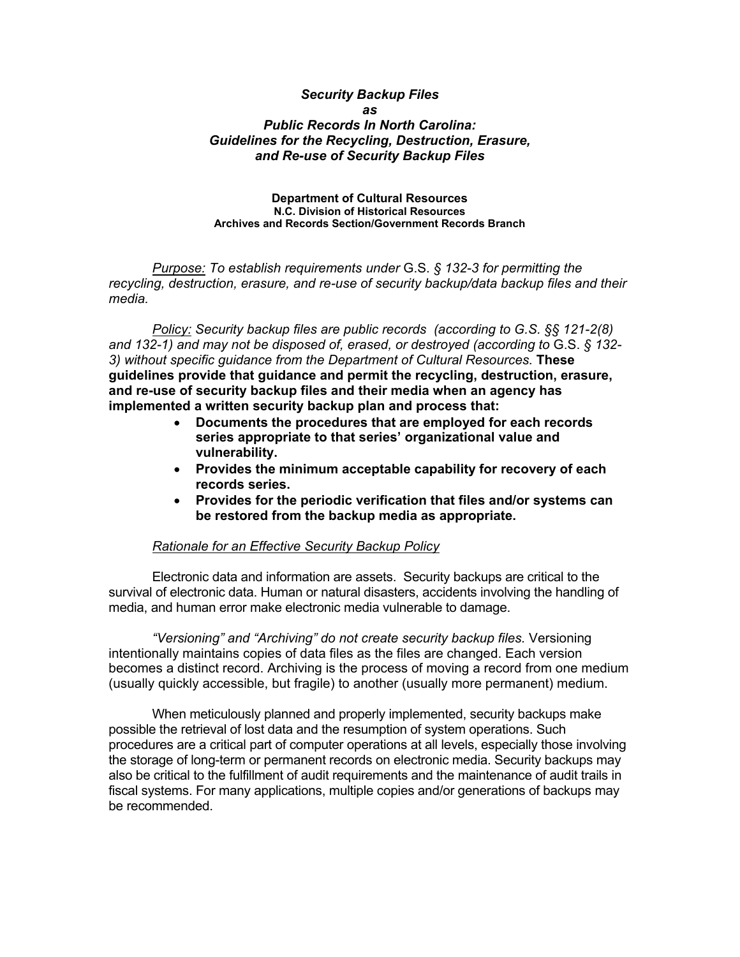## *Security Backup Files as Public Records In North Carolina: Guidelines for the Recycling, Destruction, Erasure, and Re-use of Security Backup Files*

## **Department of Cultural Resources N.C. Division of Historical Resources Archives and Records Section/Government Records Branch**

*Purpose: To establish requirements under* G.S. *§ 132-3 for permitting the recycling, destruction, erasure, and re-use of security backup/data backup files and their media.*

*Policy: Security backup files are public records (according to G.S. §§ 121-2(8) and 132-1) and may not be disposed of, erased, or destroyed (according to* G.S. *§ 132- 3) without specific guidance from the Department of Cultural Resources.* **These guidelines provide that guidance and permit the recycling, destruction, erasure, and re-use of security backup files and their media when an agency has implemented a written security backup plan and process that:** 

- **Documents the procedures that are employed for each records series appropriate to that series' organizational value and vulnerability.**
- **Provides the minimum acceptable capability for recovery of each records series.**
- **Provides for the periodic verification that files and/or systems can be restored from the backup media as appropriate.**

## *Rationale for an Effective Security Backup Policy*

Electronic data and information are assets. Security backups are critical to the survival of electronic data. Human or natural disasters, accidents involving the handling of media, and human error make electronic media vulnerable to damage.

 *"Versioning" and "Archiving" do not create security backup files.* Versioning intentionally maintains copies of data files as the files are changed. Each version becomes a distinct record. Archiving is the process of moving a record from one medium (usually quickly accessible, but fragile) to another (usually more permanent) medium.

 When meticulously planned and properly implemented, security backups make possible the retrieval of lost data and the resumption of system operations. Such procedures are a critical part of computer operations at all levels, especially those involving the storage of long-term or permanent records on electronic media. Security backups may also be critical to the fulfillment of audit requirements and the maintenance of audit trails in fiscal systems. For many applications, multiple copies and/or generations of backups may be recommended.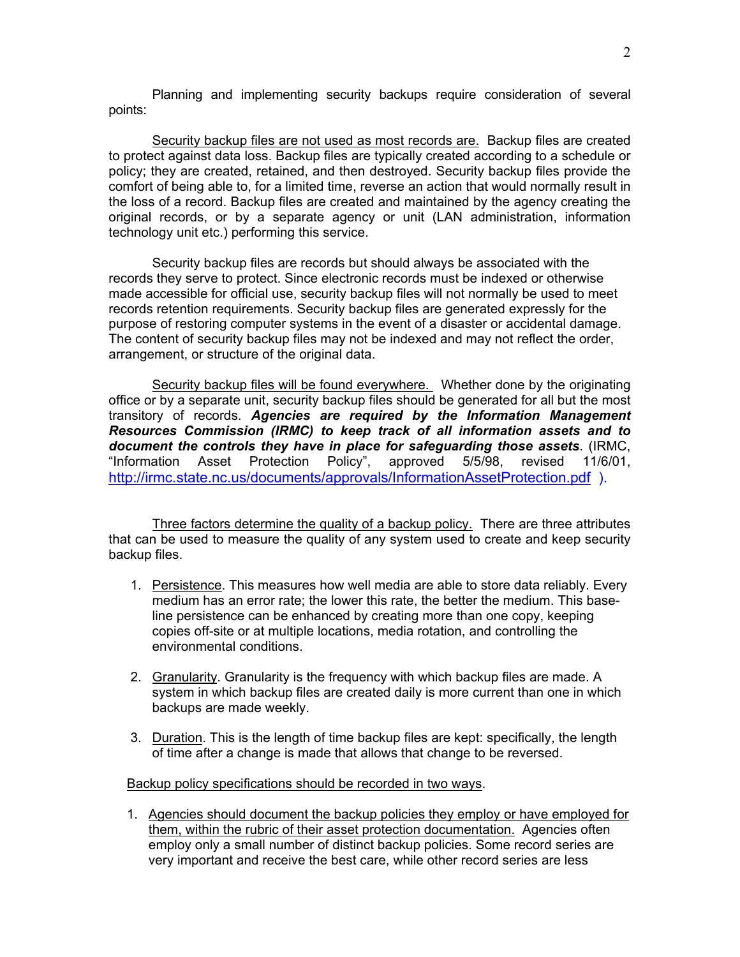Planning and implementing security backups require consideration of several points:

Security backup files are not used as most records are. Backup files are created to protect against data loss. Backup files are typically created according to a schedule or policy; they are created, retained, and then destroyed. Security backup files provide the comfort of being able to, for a limited time, reverse an action that would normally result in the loss of a record. Backup files are created and maintained by the agency creating the original records, or by a separate agency or unit (LAN administration, information technology unit etc.) performing this service.

Security backup files are records but should always be associated with the records they serve to protect. Since electronic records must be indexed or otherwise made accessible for official use, security backup files will not normally be used to meet records retention requirements. Security backup files are generated expressly for the purpose of restoring computer systems in the event of a disaster or accidental damage. The content of security backup files may not be indexed and may not reflect the order, arrangement, or structure of the original data.

Security backup files will be found everywhere. Whether done by the originating office or by a separate unit, security backup files should be generated for all but the most transitory of records. *Agencies are required by the Information Management Resources Commission (IRMC) to keep track of all information assets and to document the controls they have in place for safeguarding those assets*. (IRMC, "Information Asset Protection Policy", approved 5/5/98, revised 11/6/01, <http://irmc.state.nc.us/documents/approvals/InformationAssetProtection.pdf>).

Three factors determine the quality of a backup policy. There are three attributes that can be used to measure the quality of any system used to create and keep security backup files.

- 1. Persistence. This measures how well media are able to store data reliably. Every medium has an error rate; the lower this rate, the better the medium. This baseline persistence can be enhanced by creating more than one copy, keeping copies off-site or at multiple locations, media rotation, and controlling the environmental conditions.
- 2. Granularity. Granularity is the frequency with which backup files are made. A system in which backup files are created daily is more current than one in which backups are made weekly.
- 3. Duration. This is the length of time backup files are kept: specifically, the length of time after a change is made that allows that change to be reversed.

Backup policy specifications should be recorded in two ways.

1. Agencies should document the backup policies they employ or have employed for them, within the rubric of their asset protection documentation. Agencies often employ only a small number of distinct backup policies. Some record series are very important and receive the best care, while other record series are less